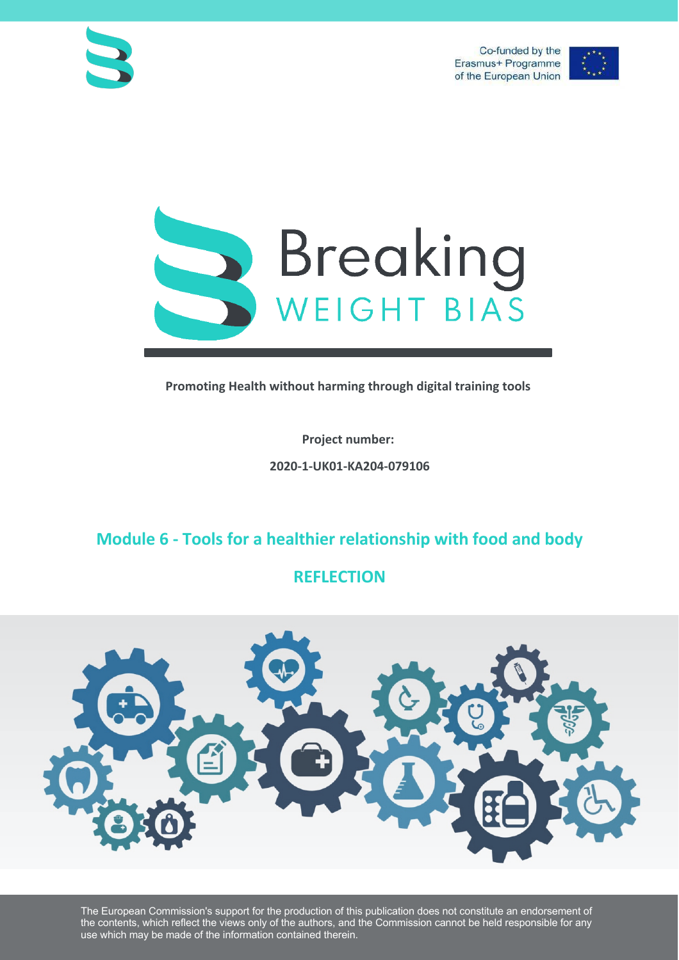



**Promoting Health without harming through digital training tools**

**Project number: 2020-1-UK01-KA204-079106**

## **Module 6 - Tools for a healthier relationship with food and body**

## **REFLECTION**



The European Commission's support for the production of this publication does not constitute an endorsement of the contents, which reflect the views only of the authors, and the Commission cannot be held responsible for any use which may be made of the information contained therein.